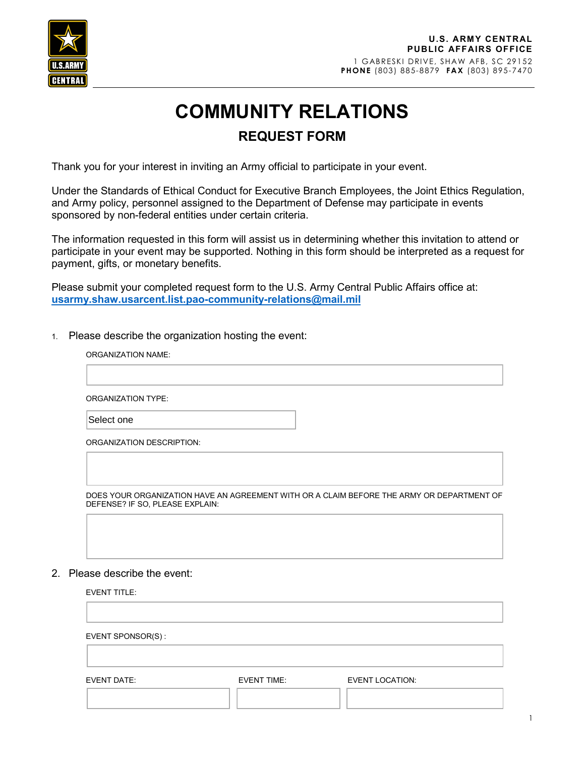

1 GABRESKI DRIVE, SHAW AFB, SC 29152 **PHONE** (803) 885-8879 **FAX** (803) 895-7470

## **COMMUNITY RELATIONS REQUEST FORM**

Thank you for your interest in inviting an Army official to participate in your event.

Under the Standards of Ethical Conduct for Executive Branch Employees, the Joint Ethics Regulation, and Army policy, personnel assigned to the Department of Defense may participate in events sponsored by non-federal entities under certain criteria.

The information requested in this form will assist us in determining whether this invitation to attend or participate in your event may be supported. Nothing in this form should be interpreted as a request for payment, gifts, or monetary benefits.

Please submit your completed request form to the U.S. Army Central Public Affairs office at: **[usarmy.shaw.usarcent.list.pao-community-relations@mail.mil](mailto:usarmy.shaw.usarcent.list.pao-community-relations@mail.mil)**

1. Please describe the organization hosting the event:

## ORGANIZATION NAME:

ORGANIZATION TYPE:

Select one

ORGANIZATION DESCRIPTION:

DOES YOUR ORGANIZATION HAVE AN AGREEMENT WITH OR A CLAIM BEFORE THE ARMY OR DEPARTMENT OF DEFENSE? IF SO, PLEASE EXPLAIN:

## 2. Please describe the event:

EVENT TITLE:

EVENT SPONSOR(S) :

EVENT DATE: EVENT TIME: EVENT LOCATION: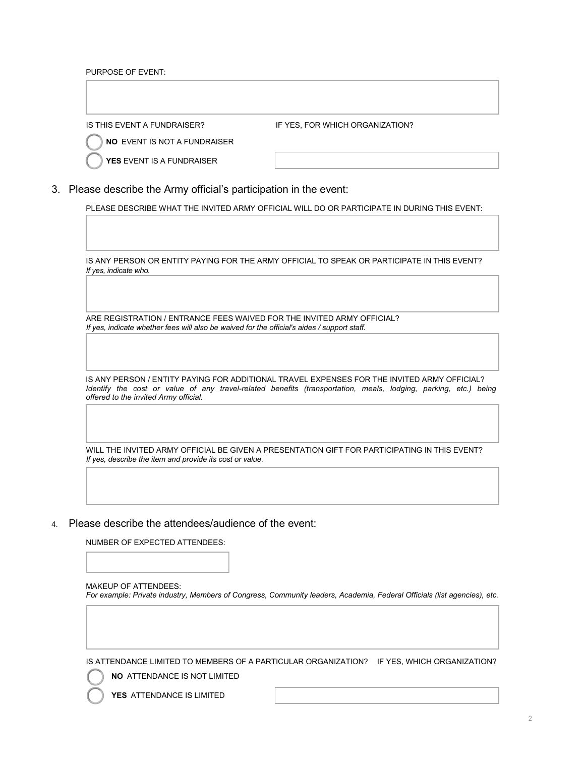PURPOSE OF EVENT:

IS THIS EVENT A FUNDRAISER?

IF YES, FOR WHICH ORGANIZATION?

**NO** EVENT IS NOT A FUNDRAISER

**YES** EVENT IS A FUNDRAISER

3. Please describe the Army official's participation in the event:

PLEASE DESCRIBE WHAT THE INVITED ARMY OFFICIAL WILL DO OR PARTICIPATE IN DURING THIS EVENT:

IS ANY PERSON OR ENTITY PAYING FOR THE ARMY OFFICIAL TO SPEAK OR PARTICIPATE IN THIS EVENT? *If yes, indicate who.* 

ARE REGISTRATION / ENTRANCE FEES WAIVED FOR THE INVITED ARMY OFFICIAL? *If yes, indicate whether fees will also be waived for the official's aides / support staff.*

IS ANY PERSON / ENTITY PAYING FOR ADDITIONAL TRAVEL EXPENSES FOR THE INVITED ARMY OFFICIAL? *Identify the cost or value of any travel-related benefits (transportation, meals, lodging, parking, etc.) being offered to the invited Army official.* 

WILL THE INVITED ARMY OFFICIAL BE GIVEN A PRESENTATION GIFT FOR PARTICIPATING IN THIS EVENT? *If yes, describe the item and provide its cost or value.*

4. Please describe the attendees/audience of the event:

NUMBER OF EXPECTED ATTENDEES:

MAKEUP OF ATTENDEES: *For example: Private industry, Members of Congress, Community leaders, Academia, Federal Officials (list agencies), etc.*

IS ATTENDANCE LIMITED TO MEMBERS OF A PARTICULAR ORGANIZATION? IF YES, WHICH ORGANIZATION?

**NO** ATTENDANCE IS NOT LIMITED

**YES** ATTENDANCE IS LIMITED